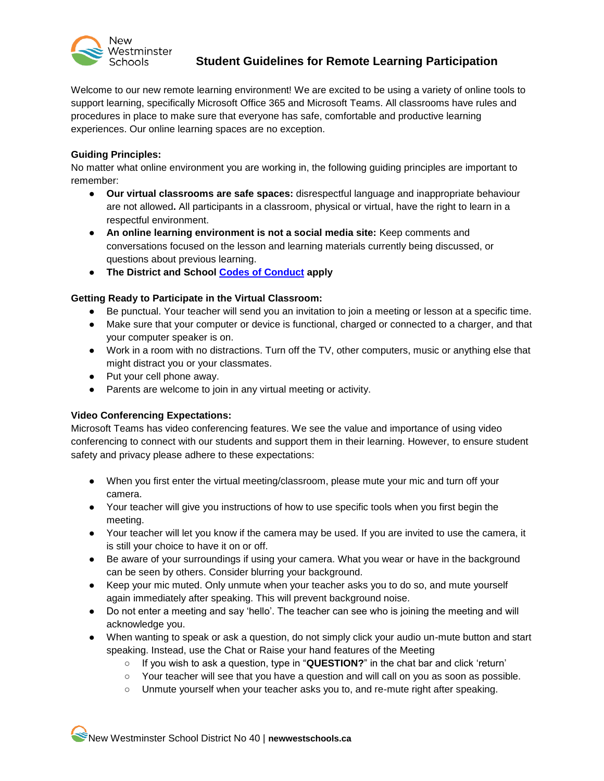

# **Student Guidelines for Remote Learning Participation**

Welcome to our new remote learning environment! We are excited to be using a variety of online tools to support learning, specifically Microsoft Office 365 and Microsoft Teams. All classrooms have rules and procedures in place to make sure that everyone has safe, comfortable and productive learning experiences. Our online learning spaces are no exception.

#### **Guiding Principles:**

No matter what online environment you are working in, the following guiding principles are important to remember:

- **Our virtual classrooms are safe spaces:** disrespectful language and inappropriate behaviour are not allowed**.** All participants in a classroom, physical or virtual, have the right to learn in a respectful environment.
- **An online learning environment is not a social media site:** Keep comments and conversations focused on the lesson and learning materials currently being discussed, or questions about previous learning.
- **The District and School [Codes of Conduct](https://newwestschools.ca/wp-content/uploads/2017/11/District-Code-of-Conduct.pdf) apply**

### **Getting Ready to Participate in the Virtual Classroom:**

- Be punctual. Your teacher will send you an invitation to join a meeting or lesson at a specific time.
- Make sure that your computer or device is functional, charged or connected to a charger, and that your computer speaker is on.
- Work in a room with no distractions. Turn off the TV, other computers, music or anything else that might distract you or your classmates.
- Put your cell phone away.
- Parents are welcome to join in any virtual meeting or activity.

### **Video Conferencing Expectations:**

Microsoft Teams has video conferencing features. We see the value and importance of using video conferencing to connect with our students and support them in their learning. However, to ensure student safety and privacy please adhere to these expectations:

- When you first enter the virtual meeting/classroom, please mute your mic and turn off your camera.
- Your teacher will give you instructions of how to use specific tools when you first begin the meeting.
- Your teacher will let you know if the camera may be used. If you are invited to use the camera, it is still your choice to have it on or off.
- Be aware of your surroundings if using your camera. What you wear or have in the background can be seen by others. Consider blurring your background.
- Keep your mic muted. Only unmute when your teacher asks you to do so, and mute yourself again immediately after speaking. This will prevent background noise.
- Do not enter a meeting and say 'hello'. The teacher can see who is joining the meeting and will acknowledge you.
- When wanting to speak or ask a question, do not simply click your audio un-mute button and start speaking. Instead, use the Chat or Raise your hand features of the Meeting
	- If you wish to ask a question, type in "**QUESTION?**" in the chat bar and click 'return'
	- Your teacher will see that you have a question and will call on you as soon as possible.
	- Unmute yourself when your teacher asks you to, and re-mute right after speaking.